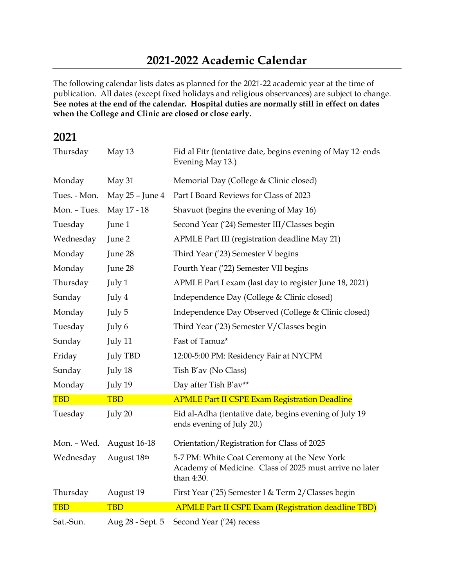The following calendar lists dates as planned for the 2021-22 academic year at the time of publication. All dates (except fixed holidays and religious observances) are subject to change. **See notes at the end of the calendar. Hospital duties are normally still in effect on dates when the College and Clinic are closed or close early.**

## **2021**

| Thursday     | May 13              | Eid al Fitr (tentative date, begins evening of May 12 ends<br>Evening May 13.)                                       |
|--------------|---------------------|----------------------------------------------------------------------------------------------------------------------|
| Monday       | May 31              | Memorial Day (College & Clinic closed)                                                                               |
| Tues. - Mon. | May 25 - June 4     | Part I Board Reviews for Class of 2023                                                                               |
| Mon. - Tues. | May 17 - 18         | Shavuot (begins the evening of May 16)                                                                               |
| Tuesday      | June 1              | Second Year ('24) Semester III/Classes begin                                                                         |
| Wednesday    | June 2              | APMLE Part III (registration deadline May 21)                                                                        |
| Monday       | June 28             | Third Year ('23) Semester V begins                                                                                   |
| Monday       | June 28             | Fourth Year ('22) Semester VII begins                                                                                |
| Thursday     | July 1              | APMLE Part I exam (last day to register June 18, 2021)                                                               |
| Sunday       | July 4              | Independence Day (College & Clinic closed)                                                                           |
| Monday       | July 5              | Independence Day Observed (College & Clinic closed)                                                                  |
| Tuesday      | July 6              | Third Year ('23) Semester V/Classes begin                                                                            |
| Sunday       | July 11             | Fast of Tamuz*                                                                                                       |
| Friday       | <b>July TBD</b>     | 12:00-5:00 PM: Residency Fair at NYCPM                                                                               |
| Sunday       | July 18             | Tish B'av (No Class)                                                                                                 |
| Monday       | July 19             | Day after Tish B'av**                                                                                                |
| <b>TBD</b>   | <b>TBD</b>          | <b>APMLE Part II CSPE Exam Registration Deadline</b>                                                                 |
| Tuesday      | July 20             | Eid al-Adha (tentative date, begins evening of July 19<br>ends evening of July 20.)                                  |
| Mon. - Wed.  | <b>August 16-18</b> | Orientation/Registration for Class of 2025                                                                           |
| Wednesday    | August 18th         | 5-7 PM: White Coat Ceremony at the New York<br>Academy of Medicine. Class of 2025 must arrive no later<br>than 4:30. |
| Thursday     | August 19           | First Year ('25) Semester I & Term 2/ Classes begin                                                                  |
| <b>TBD</b>   | <b>TBD</b>          | <b>APMLE Part II CSPE Exam (Registration deadline TBD)</b>                                                           |
| Sat.-Sun.    | Aug 28 - Sept. 5    | Second Year ('24) recess                                                                                             |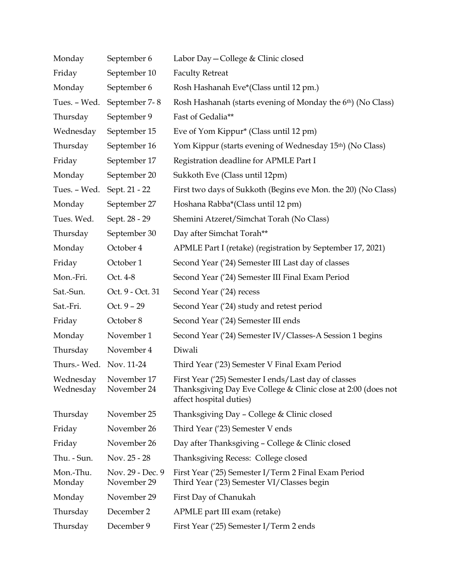| Monday                  | September 6                     | Labor Day - College & Clinic closed                                                                                                              |
|-------------------------|---------------------------------|--------------------------------------------------------------------------------------------------------------------------------------------------|
| Friday                  | September 10                    | <b>Faculty Retreat</b>                                                                                                                           |
| Monday                  | September 6                     | Rosh Hashanah Eve*(Class until 12 pm.)                                                                                                           |
| Tues. - Wed.            | September 7-8                   | Rosh Hashanah (starts evening of Monday the 6 <sup>th</sup> ) (No Class)                                                                         |
| Thursday                | September 9                     | Fast of Gedalia**                                                                                                                                |
| Wednesday               | September 15                    | Eve of Yom Kippur* (Class until 12 pm)                                                                                                           |
| Thursday                | September 16                    | Yom Kippur (starts evening of Wednesday 15 <sup>th</sup> ) (No Class)                                                                            |
| Friday                  | September 17                    | Registration deadline for APMLE Part I                                                                                                           |
| Monday                  | September 20                    | Sukkoth Eve (Class until 12pm)                                                                                                                   |
| Tues. - Wed.            | Sept. 21 - 22                   | First two days of Sukkoth (Begins eve Mon. the 20) (No Class)                                                                                    |
| Monday                  | September 27                    | Hoshana Rabba*(Class until 12 pm)                                                                                                                |
| Tues. Wed.              | Sept. 28 - 29                   | Shemini Atzeret/Simchat Torah (No Class)                                                                                                         |
| Thursday                | September 30                    | Day after Simchat Torah**                                                                                                                        |
| Monday                  | October 4                       | APMLE Part I (retake) (registration by September 17, 2021)                                                                                       |
| Friday                  | October 1                       | Second Year ('24) Semester III Last day of classes                                                                                               |
| Mon.-Fri.               | Oct. 4-8                        | Second Year ('24) Semester III Final Exam Period                                                                                                 |
| Sat.-Sun.               | Oct. 9 - Oct. 31                | Second Year ('24) recess                                                                                                                         |
| Sat.-Fri.               | Oct. $9 - 29$                   | Second Year ('24) study and retest period                                                                                                        |
| Friday                  | October 8                       | Second Year ('24) Semester III ends                                                                                                              |
| Monday                  | November 1                      | Second Year ('24) Semester IV/Classes-A Session 1 begins                                                                                         |
| Thursday                | November 4                      | Diwali                                                                                                                                           |
| Thurs.- Wed. Nov. 11-24 |                                 | Third Year ('23) Semester V Final Exam Period                                                                                                    |
| Wednesday<br>Wednesday  | November 17<br>November 24      | First Year ('25) Semester I ends/Last day of classes<br>Thanksgiving Day Eve College & Clinic close at 2:00 (does not<br>affect hospital duties) |
| Thursday                | November 25                     | Thanksgiving Day - College & Clinic closed                                                                                                       |
| Friday                  | November 26                     | Third Year ('23) Semester V ends                                                                                                                 |
| Friday                  | November 26                     | Day after Thanksgiving - College & Clinic closed                                                                                                 |
| Thu. - Sun.             | Nov. 25 - 28                    | Thanksgiving Recess: College closed                                                                                                              |
| Mon.-Thu.<br>Monday     | Nov. 29 - Dec. 9<br>November 29 | First Year ('25) Semester I/Term 2 Final Exam Period<br>Third Year ('23) Semester VI/Classes begin                                               |
| Monday                  | November 29                     | First Day of Chanukah                                                                                                                            |
| Thursday                | December 2                      | APMLE part III exam (retake)                                                                                                                     |
| Thursday                | December 9                      | First Year ('25) Semester I/Term 2 ends                                                                                                          |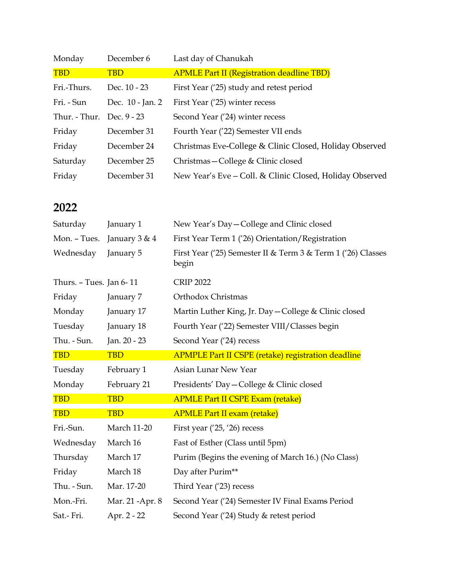| Monday                    | December 6       | Last day of Chanukah                                     |
|---------------------------|------------------|----------------------------------------------------------|
| <b>TBD</b>                | <b>TBD</b>       | <b>APMLE Part II (Registration deadline TBD)</b>         |
| Fri.-Thurs.               | Dec. 10 - 23     | First Year (25) study and retest period                  |
| Fri. - Sun                | Dec. 10 - Jan. 2 | First Year ('25) winter recess                           |
| Thur. - Thur. Dec. 9 - 23 |                  | Second Year ('24) winter recess                          |
| Friday                    | December 31      | Fourth Year ('22) Semester VII ends                      |
| Friday                    | December 24      | Christmas Eve-College & Clinic Closed, Holiday Observed  |
| Saturday                  | December 25      | Christmas – College & Clinic closed                      |
| Friday                    | December 31      | New Year's Eve – Coll. & Clinic Closed, Holiday Observed |

## **2022**

| Saturday                | January 1          | New Year's Day-College and Clinic closed                              |
|-------------------------|--------------------|-----------------------------------------------------------------------|
| Mon. - Tues.            | January 3 & 4      | First Year Term 1 ('26) Orientation/Registration                      |
| Wednesday               | January 5          | First Year ('25) Semester II & Term 3 & Term 1 ('26) Classes<br>begin |
| Thurs. - Tues. Jan 6-11 |                    | <b>CRIP 2022</b>                                                      |
| Friday                  | January 7          | Orthodox Christmas                                                    |
| Monday                  | January 17         | Martin Luther King, Jr. Day - College & Clinic closed                 |
| Tuesday                 | January 18         | Fourth Year ('22) Semester VIII/Classes begin                         |
| Thu. - Sun.             | Jan. 20 - 23       | Second Year ('24) recess                                              |
| <b>TBD</b>              | <b>TBD</b>         | <b>APMPLE Part II CSPE (retake) registration deadline</b>             |
| Tuesday                 | February 1         | Asian Lunar New Year                                                  |
| Monday                  | February 21        | Presidents' Day - College & Clinic closed                             |
| <b>TBD</b>              | <b>TBD</b>         | <b>APMLE Part II CSPE Exam (retake)</b>                               |
| <b>TBD</b>              | <b>TBD</b>         | <b>APMLE Part II exam (retake)</b>                                    |
| Fri.-Sun.               | <b>March 11-20</b> | First year $('25, '26)$ recess                                        |
| Wednesday               | March 16           | Fast of Esther (Class until 5pm)                                      |
| Thursday                | March 17           | Purim (Begins the evening of March 16.) (No Class)                    |
| Friday                  | March 18           | Day after Purim**                                                     |
| Thu. - Sun.             | Mar. 17-20         | Third Year ('23) recess                                               |
| Mon.-Fri.               | Mar. 21 -Apr. 8    | Second Year ('24) Semester IV Final Exams Period                      |
| Sat.- Fri.              | Apr. 2 - 22        | Second Year ('24) Study & retest period                               |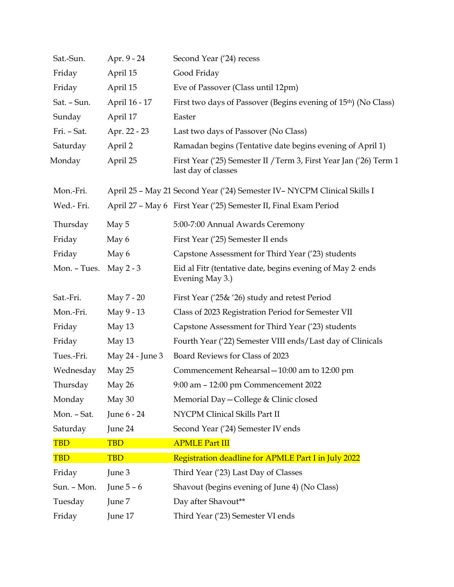| Sat.-Sun.    | Apr. 9 - 24     | Second Year ('24) recess                                                                  |
|--------------|-----------------|-------------------------------------------------------------------------------------------|
| Friday       | April 15        | Good Friday                                                                               |
| Friday       | April 15        | Eve of Passover (Class until 12pm)                                                        |
| Sat. - Sun.  | April 16 - 17   | First two days of Passover (Begins evening of 15 <sup>th</sup> ) (No Class)               |
| Sunday       | April 17        | Easter                                                                                    |
| Fri. - Sat.  | Apr. 22 - 23    | Last two days of Passover (No Class)                                                      |
| Saturday     | April 2         | Ramadan begins (Tentative date begins evening of April 1)                                 |
| Monday       | April 25        | First Year ('25) Semester II / Term 3, First Year Jan ('26) Term 1<br>last day of classes |
| Mon.-Fri.    |                 | April 25 - May 21 Second Year ('24) Semester IV - NYCPM Clinical Skills I                 |
| Wed.- Fri.   |                 | April 27 - May 6 First Year ('25) Semester II, Final Exam Period                          |
| Thursday     | May 5           | 5:00-7:00 Annual Awards Ceremony                                                          |
| Friday       | May 6           | First Year ('25) Semester II ends                                                         |
| Friday       | May 6           | Capstone Assessment for Third Year ('23) students                                         |
| Mon. - Tues. | May $2 - 3$     | Eid al Fitr (tentative date, begins evening of May 2 ends<br>Evening May 3.)              |
| Sat.-Fri.    | May 7 - 20      | First Year ('25& '26) study and retest Period                                             |
| Mon.-Fri.    | May 9 - 13      | Class of 2023 Registration Period for Semester VII                                        |
| Friday       | May 13          | Capstone Assessment for Third Year ('23) students                                         |
| Friday       | May 13          | Fourth Year ('22) Semester VIII ends/Last day of Clinicals                                |
| Tues.-Fri.   | May 24 - June 3 | Board Reviews for Class of 2023                                                           |
| Wednesday    | May 25          | Commencement Rehearsal - 10:00 am to 12:00 pm                                             |
| Thursday     | May 26          | 9:00 am - 12:00 pm Commencement 2022                                                      |
| Monday       | May 30          | Memorial Day - College & Clinic closed                                                    |
| Mon. - Sat.  | June 6 - 24     | NYCPM Clinical Skills Part II                                                             |
| Saturday     | June 24         | Second Year ('24) Semester IV ends                                                        |
| <b>TBD</b>   | <b>TBD</b>      | <b>APMLE Part III</b>                                                                     |
| <b>TBD</b>   | <b>TBD</b>      | Registration deadline for APMLE Part I in July 2022                                       |
| Friday       | June 3          | Third Year ('23) Last Day of Classes                                                      |
| Sun. - Mon.  | June $5 - 6$    | Shavout (begins evening of June 4) (No Class)                                             |
| Tuesday      | June 7          | Day after Shavout**                                                                       |
| Friday       | June 17         | Third Year ('23) Semester VI ends                                                         |
|              |                 |                                                                                           |